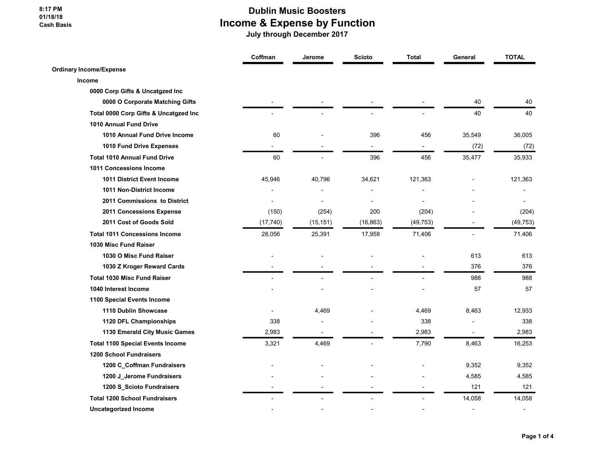#### 8:17 PM 01/18/18 Cash Basis

### Dublin Music Boosters Income & Expense by Function

|                                         | Coffman   | Jerome    | <b>Scioto</b> | <b>Total</b> | General                  | <b>TOTAL</b>             |
|-----------------------------------------|-----------|-----------|---------------|--------------|--------------------------|--------------------------|
| <b>Ordinary Income/Expense</b>          |           |           |               |              |                          |                          |
| Income                                  |           |           |               |              |                          |                          |
| 0000 Corp Gifts & Uncatgzed Inc         |           |           |               |              |                          |                          |
| 0000 O Corporate Matching Gifts         |           |           |               |              | 40                       | 40                       |
| Total 0000 Corp Gifts & Uncatgzed Inc   |           |           |               |              | 40                       | 40                       |
| 1010 Annual Fund Drive                  |           |           |               |              |                          |                          |
| 1010 Annual Fund Drive Income           | 60        |           | 396           | 456          | 35,549                   | 36,005                   |
| 1010 Fund Drive Expenses                |           |           |               |              | (72)                     | (72)                     |
| <b>Total 1010 Annual Fund Drive</b>     | 60        |           | 396           | 456          | 35,477                   | 35,933                   |
| 1011 Concessions Income                 |           |           |               |              |                          |                          |
| 1011 District Event Income              | 45,946    | 40,796    | 34,621        | 121,363      |                          | 121,363                  |
| 1011 Non-District Income                |           |           |               |              |                          |                          |
| 2011 Commissions to District            |           |           |               |              |                          |                          |
| 2011 Concessions Expense                | (150)     | (254)     | 200           | (204)        |                          | (204)                    |
| 2011 Cost of Goods Sold                 | (17, 740) | (15, 151) | (16, 863)     | (49, 753)    |                          | (49, 753)                |
| <b>Total 1011 Concessions Income</b>    | 28,056    | 25,391    | 17,958        | 71,406       |                          | 71,406                   |
| 1030 Misc Fund Raiser                   |           |           |               |              |                          |                          |
| 1030 O Misc Fund Raiser                 |           |           |               |              | 613                      | 613                      |
| 1030 Z Kroger Reward Cards              |           |           |               |              | 376                      | 376                      |
| <b>Total 1030 Misc Fund Raiser</b>      |           |           |               |              | 988                      | 988                      |
| 1040 Interest Income                    |           |           |               |              | 57                       | 57                       |
| 1100 Special Events Income              |           |           |               |              |                          |                          |
| 1110 Dublin Showcase                    |           | 4,469     |               | 4,469        | 8,463                    | 12,933                   |
| 1120 DFL Championships                  | 338       |           |               | 338          |                          | 338                      |
| 1130 Emerald City Music Games           | 2,983     |           |               | 2,983        |                          | 2,983                    |
| <b>Total 1100 Special Events Income</b> | 3,321     | 4,469     |               | 7,790        | 8,463                    | 16,253                   |
| <b>1200 School Fundraisers</b>          |           |           |               |              |                          |                          |
| 1200 C_Coffman Fundraisers              |           |           |               |              | 9,352                    | 9,352                    |
| 1200 J_Jerome Fundraisers               |           |           |               |              | 4,585                    | 4,585                    |
| 1200 S_Scioto Fundraisers               |           |           |               |              | 121                      | 121                      |
| <b>Total 1200 School Fundraisers</b>    |           |           |               |              | 14,058                   | 14,058                   |
| <b>Uncategorized Income</b>             |           |           |               |              | $\overline{\phantom{a}}$ | $\overline{\phantom{a}}$ |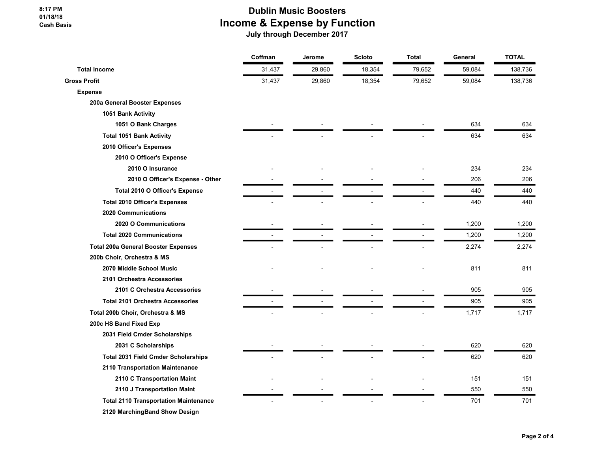# Dublin Music Boosters Income & Expense by Function

|                                              | Coffman | Jerome | <b>Scioto</b> | <b>Total</b> | General | <b>TOTAL</b> |
|----------------------------------------------|---------|--------|---------------|--------------|---------|--------------|
| <b>Total Income</b>                          | 31,437  | 29,860 | 18,354        | 79,652       | 59,084  | 138,736      |
| <b>Gross Profit</b>                          | 31,437  | 29,860 | 18,354        | 79,652       | 59,084  | 138,736      |
| <b>Expense</b>                               |         |        |               |              |         |              |
| 200a General Booster Expenses                |         |        |               |              |         |              |
| 1051 Bank Activity                           |         |        |               |              |         |              |
| 1051 O Bank Charges                          |         |        |               |              | 634     | 634          |
| <b>Total 1051 Bank Activity</b>              |         |        |               |              | 634     | 634          |
| 2010 Officer's Expenses                      |         |        |               |              |         |              |
| 2010 O Officer's Expense                     |         |        |               |              |         |              |
| 2010 O Insurance                             |         |        |               |              | 234     | 234          |
| 2010 O Officer's Expense - Other             |         |        |               |              | 206     | 206          |
| Total 2010 O Officer's Expense               |         |        |               |              | 440     | 440          |
| <b>Total 2010 Officer's Expenses</b>         |         |        |               |              | 440     | 440          |
| <b>2020 Communications</b>                   |         |        |               |              |         |              |
| 2020 O Communications                        |         |        |               |              | 1,200   | 1,200        |
| <b>Total 2020 Communications</b>             |         |        |               |              | 1,200   | 1,200        |
| <b>Total 200a General Booster Expenses</b>   |         |        |               |              | 2,274   | 2,274        |
| 200b Choir, Orchestra & MS                   |         |        |               |              |         |              |
| 2070 Middle School Music                     |         |        |               |              | 811     | 811          |
| 2101 Orchestra Accessories                   |         |        |               |              |         |              |
| 2101 C Orchestra Accessories                 |         |        |               |              | 905     | 905          |
| <b>Total 2101 Orchestra Accessories</b>      |         |        |               |              | 905     | 905          |
| Total 200b Choir, Orchestra & MS             |         |        |               |              | 1,717   | 1,717        |
| 200c HS Band Fixed Exp                       |         |        |               |              |         |              |
| 2031 Field Cmder Scholarships                |         |        |               |              |         |              |
| 2031 C Scholarships                          |         |        |               |              | 620     | 620          |
| <b>Total 2031 Field Cmder Scholarships</b>   |         |        |               |              | 620     | 620          |
| 2110 Transportation Maintenance              |         |        |               |              |         |              |
| 2110 C Transportation Maint                  |         |        |               |              | 151     | 151          |
| 2110 J Transportation Maint                  |         |        |               |              | 550     | 550          |
| <b>Total 2110 Transportation Maintenance</b> |         |        |               |              | 701     | 701          |
| 2120 MarchingBand Show Design                |         |        |               |              |         |              |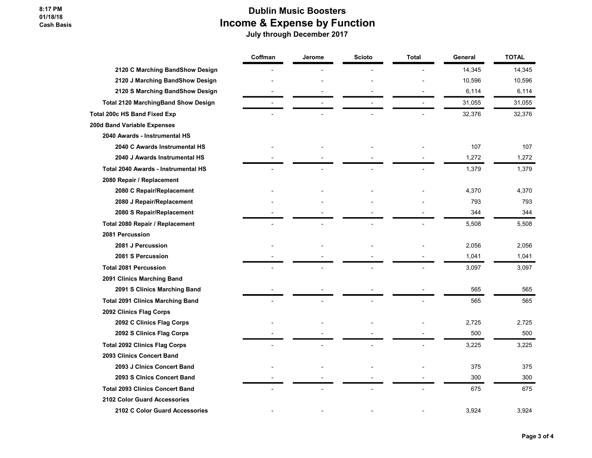#### 8:17 PM 01/18/18 Cash Basis

## Dublin Music Boosters Income & Expense by Function

|                                            | Coffman | Jerome | <b>Scioto</b> | <b>Total</b> | General | <b>TOTAL</b> |
|--------------------------------------------|---------|--------|---------------|--------------|---------|--------------|
| 2120 C Marching BandShow Design            |         |        |               |              | 14,345  | 14,345       |
| 2120 J Marching BandShow Design            |         |        |               |              | 10,596  | 10,596       |
| 2120 S Marching BandShow Design            |         |        |               |              | 6,114   | 6,114        |
| <b>Total 2120 MarchingBand Show Design</b> |         |        |               |              | 31,055  | 31,055       |
| <b>Total 200c HS Band Fixed Exp</b>        |         |        |               |              | 32,376  | 32,376       |
| 200d Band Variable Expenses                |         |        |               |              |         |              |
| 2040 Awards - Instrumental HS              |         |        |               |              |         |              |
| 2040 C Awards Instrumental HS              |         |        |               |              | 107     | 107          |
| 2040 J Awards Instrumental HS              |         |        |               |              | 1,272   | 1,272        |
| Total 2040 Awards - Instrumental HS        |         |        |               |              | 1,379   | 1,379        |
| 2080 Repair / Replacement                  |         |        |               |              |         |              |
| 2080 C Repair/Replacement                  |         |        |               |              | 4,370   | 4,370        |
| 2080 J Repair/Replacement                  |         |        |               |              | 793     | 793          |
| 2080 S Repair/Replacement                  |         |        |               |              | 344     | 344          |
| Total 2080 Repair / Replacement            |         |        |               |              | 5,508   | 5,508        |
| 2081 Percussion                            |         |        |               |              |         |              |
| 2081 J Percussion                          |         |        |               |              | 2,056   | 2,056        |
| 2081 S Percussion                          |         |        |               |              | 1,041   | 1,041        |
| <b>Total 2081 Percussion</b>               |         |        |               |              | 3,097   | 3,097        |
| 2091 Clinics Marching Band                 |         |        |               |              |         |              |
| 2091 S Clinics Marching Band               |         |        |               |              | 565     | 565          |
| <b>Total 2091 Clinics Marching Band</b>    |         |        |               |              | 565     | 565          |
| 2092 Clinics Flag Corps                    |         |        |               |              |         |              |
| 2092 C Clinics Flag Corps                  |         |        |               |              | 2,725   | 2,725        |
| 2092 S Clinics Flag Corps                  |         |        |               |              | 500     | 500          |
| <b>Total 2092 Clinics Flag Corps</b>       |         |        |               |              | 3,225   | 3,225        |
| 2093 Clinics Concert Band                  |         |        |               |              |         |              |
| 2093 J Clnics Concert Band                 |         |        |               |              | 375     | 375          |
| 2093 S Cinics Concert Band                 |         |        |               |              | 300     | 300          |
| <b>Total 2093 Clinics Concert Band</b>     |         |        |               |              | 675     | 675          |
| 2102 Color Guard Accessories               |         |        |               |              |         |              |
| 2102 C Color Guard Accessories             |         |        |               |              | 3,924   | 3,924        |